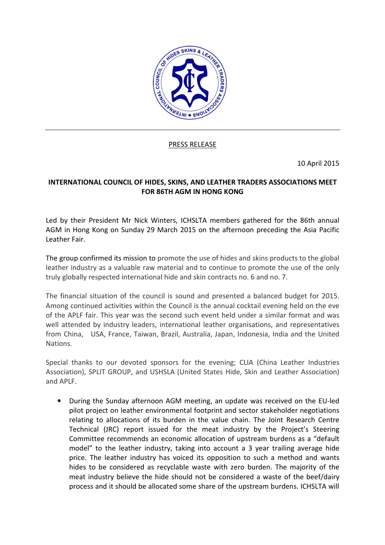

PRESS RELEASE

10 April 2015

## INTERNATIONAL COUNCIL OF HIDES, SKINS, AND LEATHER TRADERS ASSOCIATIONS MEET FOR 86TH AGM IN HONG KONG

Led by their President Mr Nick Winters, ICHSLTA members gathered for the 86th annual AGM in Hong Kong on Sunday 29 March 2015 on the afternoon preceding the Asia Pacific Leather Fair.

The group confirmed its mission to promote the use of hides and skins products to the global leather industry as a valuable raw material and to continue to promote the use of the only truly globally respected international hide and skin contracts no. 6 and no. 7.

The financial situation of the council is sound and presented a balanced budget for 2015. Among continued activities within the Council is the annual cocktail evening held on the eve of the APLF fair. This year was the second such event held under a similar format and was well attended by industry leaders, international leather organisations, and representatives from China, USA, France, Taiwan, Brazil, Australia, Japan, Indonesia, India and the United Nations.

Special thanks to our devoted sponsors for the evening; CLIA (China Leather Industries Association), SPLIT GROUP, and USHSLA (United States Hide, Skin and Leather Association) and APLF.

• During the Sunday afternoon AGM meeting, an update was received on the EU-led pilot project on leather environmental footprint and sector stakeholder negotiations relating to allocations of its burden in the value chain. The Joint Research Centre Technical (JRC) report issued for the meat industry by the Project's Steering Committee recommends an economic allocation of upstream burdens as a "default model" to the leather industry, taking into account a 3 year trailing average hide price. The leather industry has voiced its opposition to such a method and wants hides to be considered as recyclable waste with zero burden. The majority of the meat industry believe the hide should not be considered a waste of the beef/dairy process and it should be allocated some share of the upstream burdens. ICHSLTA will